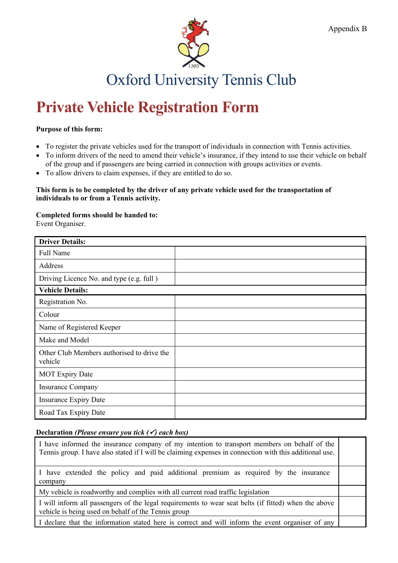

# **Private Vehicle Registration Form**

### **Purpose of this form:**

- To register the private vehicles used for the transport of individuals in connection with Tennis activities.
- To inform drivers of the need to amend their vehicle's insurance, if they intend to use their vehicle on behalf of the group and if passengers are being carried in connection with groups activities or events.
- To allow drivers to claim expenses, if they are entitled to do so.

#### **This form is to be completed by the driver of any private vehicle used for the transportation of individuals to or from a Tennis activity.**

#### **Completed forms should be handed to:**

Event Organiser.

| <b>Driver Details:</b>                                |  |  |
|-------------------------------------------------------|--|--|
| <b>Full Name</b>                                      |  |  |
| Address                                               |  |  |
| Driving Licence No. and type (e.g. full)              |  |  |
| <b>Vehicle Details:</b>                               |  |  |
| Registration No.                                      |  |  |
| Colour                                                |  |  |
| Name of Registered Keeper                             |  |  |
| Make and Model                                        |  |  |
| Other Club Members authorised to drive the<br>vehicle |  |  |
| <b>MOT Expiry Date</b>                                |  |  |
| <b>Insurance Company</b>                              |  |  |
| <b>Insurance Expiry Date</b>                          |  |  |
| Road Tax Expiry Date                                  |  |  |

## **Declaration** *(Please ensure you tick () each box)*

| I have informed the insurance company of my intention to transport members on behalf of the<br>Tennis group. I have also stated if I will be claiming expenses in connection with this additional use. |  |
|--------------------------------------------------------------------------------------------------------------------------------------------------------------------------------------------------------|--|
| I have extended the policy and paid additional premium as required by the insurance<br>company                                                                                                         |  |
| My vehicle is roadworthy and complies with all current road traffic legislation                                                                                                                        |  |
| I will inform all passengers of the legal requirements to wear seat belts (if fitted) when the above<br>vehicle is being used on behalf of the Tennis group                                            |  |
| I declare that the information stated here is correct and will inform the event organiser of any                                                                                                       |  |